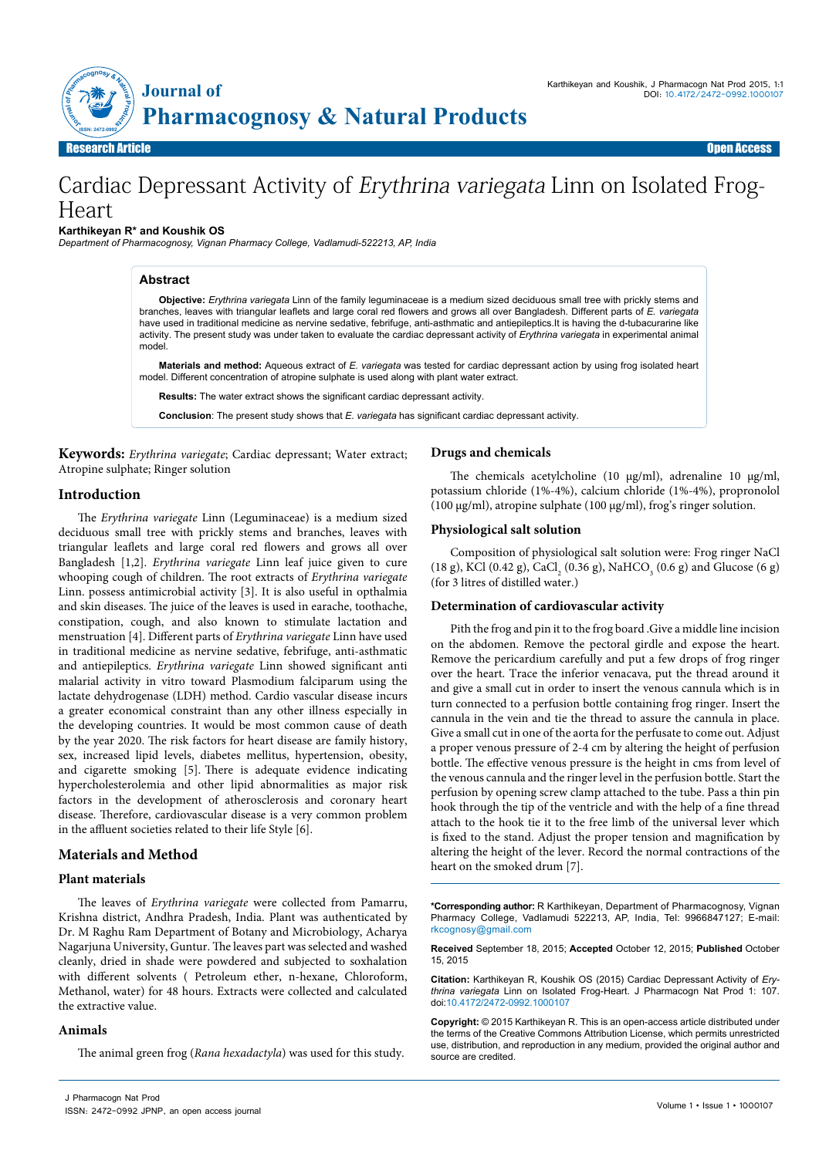

Research Article Open Access

# Cardiac Depressant Activity of Erythrina variegata Linn on Isolated Frog-Heart

**Karthikeyan R\* and Koushik OS**

*Department of Pharmacognosy, Vignan Pharmacy College, Vadlamudi-522213, AP, India*

#### **Abstract**

**Objective:** *Erythrina variegata* Linn of the family leguminaceae is a medium sized deciduous small tree with prickly stems and branches, leaves with triangular leaflets and large coral red flowers and grows all over Bangladesh. Different parts of *E. variegata* have used in traditional medicine as nervine sedative, febrifuge, anti-asthmatic and antiepileptics.It is having the d-tubacurarine like activity. The present study was under taken to evaluate the cardiac depressant activity of *Erythrina variegata* in experimental animal model

**Materials and method:** Aqueous extract of *E. variegata* was tested for cardiac depressant action by using frog isolated heart model. Different concentration of atropine sulphate is used along with plant water extract.

**Results:** The water extract shows the significant cardiac depressant activity.

**Conclusion**: The present study shows that *E. variegata* has significant cardiac depressant activity.

**Keywords:** *Erythrina variegate*; Cardiac depressant; Water extract; Atropine sulphate; Ringer solution

# **Introduction**

The *Erythrina variegate* Linn (Leguminaceae) is a medium sized deciduous small tree with prickly stems and branches, leaves with triangular leaflets and large coral red flowers and grows all over Bangladesh [1,2]. *Erythrina variegate* Linn leaf juice given to cure whooping cough of children. The root extracts of *Erythrina variegate* Linn. possess antimicrobial activity [3]. It is also useful in opthalmia and skin diseases. The juice of the leaves is used in earache, toothache, constipation, cough, and also known to stimulate lactation and menstruation [4]. Different parts of *Erythrina variegate* Linn have used in traditional medicine as nervine sedative, febrifuge, anti-asthmatic and antiepileptics. *Erythrina variegate* Linn showed significant anti malarial activity in vitro toward Plasmodium falciparum using the lactate dehydrogenase (LDH) method. Cardio vascular disease incurs a greater economical constraint than any other illness especially in the developing countries. It would be most common cause of death by the year 2020. The risk factors for heart disease are family history, sex, increased lipid levels, diabetes mellitus, hypertension, obesity, and cigarette smoking [5]. There is adequate evidence indicating hypercholesterolemia and other lipid abnormalities as major risk factors in the development of atherosclerosis and coronary heart disease. Therefore, cardiovascular disease is a very common problem in the affluent societies related to their life Style [6].

# **Materials and Method**

## **Plant materials**

The leaves of *Erythrina variegate* were collected from Pamarru, Krishna district, Andhra Pradesh, India. Plant was authenticated by Dr. M Raghu Ram Department of Botany and Microbiology, Acharya Nagarjuna University, Guntur. The leaves part was selected and washed cleanly, dried in shade were powdered and subjected to soxhalation with different solvents ( Petroleum ether, n-hexane, Chloroform, Methanol, water) for 48 hours. Extracts were collected and calculated the extractive value.

## **Animals**

The animal green frog (*Rana hexadactyla*) was used for this study.

# **Drugs and chemicals**

The chemicals acetylcholine (10 µg/ml), adrenaline 10 µg/ml, potassium chloride (1%-4%), calcium chloride (1%-4%), propronolol (100 µg/ml), atropine sulphate (100 µg/ml), frog's ringer solution.

#### **Physiological salt solution**

Composition of physiological salt solution were: Frog ringer NaCl (18 g), KCl (0.42 g), CaCl<sub>2</sub> (0.36 g), NaHCO<sub>3</sub> (0.6 g) and Glucose (6 g) (for 3 litres of distilled water.)

#### **Determination of cardiovascular activity**

Pith the frog and pin it to the frog board .Give a middle line incision on the abdomen. Remove the pectoral girdle and expose the heart. Remove the pericardium carefully and put a few drops of frog ringer over the heart. Trace the inferior venacava, put the thread around it and give a small cut in order to insert the venous cannula which is in turn connected to a perfusion bottle containing frog ringer. Insert the cannula in the vein and tie the thread to assure the cannula in place. Give a small cut in one of the aorta for the perfusate to come out. Adjust a proper venous pressure of 2-4 cm by altering the height of perfusion bottle. The effective venous pressure is the height in cms from level of the venous cannula and the ringer level in the perfusion bottle. Start the perfusion by opening screw clamp attached to the tube. Pass a thin pin hook through the tip of the ventricle and with the help of a fine thread attach to the hook tie it to the free limb of the universal lever which is fixed to the stand. Adjust the proper tension and magnification by altering the height of the lever. Record the normal contractions of the heart on the smoked drum [7].

**\*Corresponding author:** R Karthikeyan, Department of Pharmacognosy, Vignan Pharmacy College, Vadlamudi 522213, AP, India, Tel: 9966847127; E-mail: rkcognosy@gmail.com

**Received** September 18, 2015; **Accepted** October 12, 2015; **Published** October 15, 2015

**Citation:** Karthikeyan R, Koushik OS (2015) Cardiac Depressant Activity of *Erythrina variegata* Linn on Isolated Frog-Heart. J Pharmacogn Nat Prod 1: 107. doi:10.4172/2472-0992.1000107

**Copyright:** © 2015 Karthikeyan R. This is an open-access article distributed under the terms of the Creative Commons Attribution License, which permits unrestricted use, distribution, and reproduction in any medium, provided the original author and source are credited.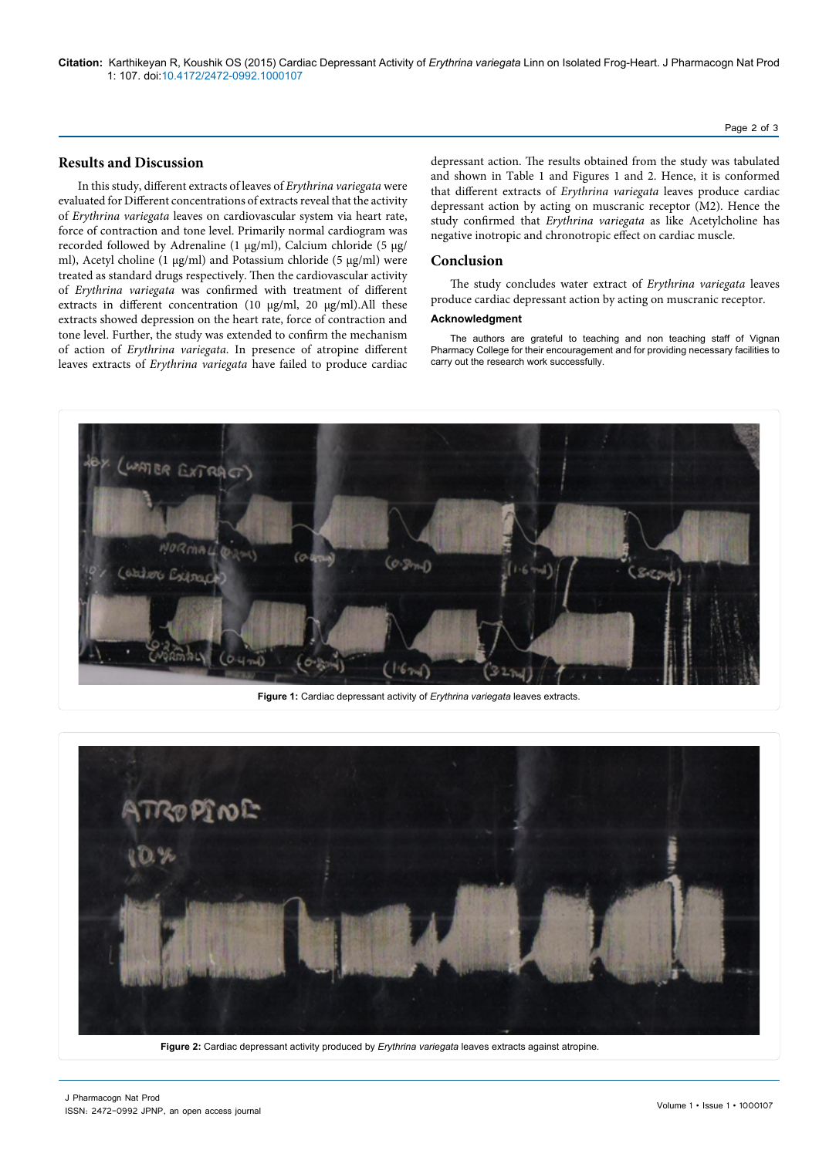**Citation:** Karthikeyan R, Koushik OS (2015) Cardiac Depressant Activity of *Erythrina variegata* Linn on Isolated Frog-Heart. J Pharmacogn Nat Prod 1: 107. doi:10.4172/2472-0992.1000107

Page 2 of 3

# **Results and Discussion**

In this study, different extracts of leaves of *Erythrina variegata* were evaluated for Different concentrations of extracts reveal that the activity of *Erythrina variegata* leaves on cardiovascular system via heart rate, force of contraction and tone level. Primarily normal cardiogram was recorded followed by Adrenaline (1 μg/ml), Calcium chloride (5 μg/ ml), Acetyl choline (1 μg/ml) and Potassium chloride (5 μg/ml) were treated as standard drugs respectively. Then the cardiovascular activity of *Erythrina variegata* was confirmed with treatment of different extracts in different concentration (10 μg/ml, 20 μg/ml).All these extracts showed depression on the heart rate, force of contraction and tone level. Further, the study was extended to confirm the mechanism of action of *Erythrina variegata*. In presence of atropine different leaves extracts of *Erythrina variegata* have failed to produce cardiac

depressant action. The results obtained from the study was tabulated and shown in Table 1 and Figures 1 and 2. Hence, it is conformed that different extracts of *Erythrina variegata* leaves produce cardiac depressant action by acting on muscranic receptor (M2). Hence the study confirmed that *Erythrina variegata* as like Acetylcholine has negative inotropic and chronotropic effect on cardiac muscle.

# **Conclusion**

The study concludes water extract of *Erythrina variegata* leaves produce cardiac depressant action by acting on muscranic receptor.

#### **Acknowledgment**

The authors are grateful to teaching and non teaching staff of Vignan Pharmacy College for their encouragement and for providing necessary facilities to carry out the research work successfully.



**Figure 1:** Cardiac depressant activity of *Erythrina variegata* leaves extracts.



**Figure 2:** Cardiac depressant activity produced by *Erythrina variegata* leaves extracts against atropine.